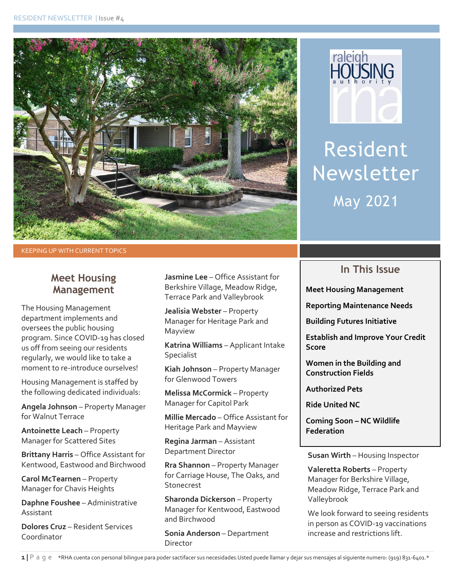



Resident Newsletter May 2021

KEEPING UP WITH CURRENT TOPICS

#### **Meet Housing Management**

The Housing Management department implements and oversees the public housing program. Since COVID-19 has closed us off from seeing our residents regularly, we would like to take a moment to re-introduce ourselves!

Housing Management is staffed by the following dedicated individuals:

**Angela Johnson** – Property Manager for Walnut Terrace

**Antoinette Leach** – Property Manager for Scattered Sites

**Brittany Harris** – Office Assistant for Kentwood, Eastwood and Birchwood

**Carol McTearnen** – Property Manager for Chavis Heights

**Daphne Foushee** – Administrative Assistant

**Dolores Cruz** – Resident Services Coordinator

**Jasmine Lee** – Office Assistant for Berkshire Village, Meadow Ridge, Terrace Park and Valleybrook

**Jealisia Webster** – Property Manager for Heritage Park and Mayview

**Katrina Williams** – Applicant Intake Specialist

**Kiah Johnson** – Property Manager for Glenwood Towers

**Melissa McCormick** – Property Manager for Capitol Park

**Millie Mercado** – Office Assistant for Heritage Park and Mayview

**Regina Jarman** – Assistant Department Director

**Rra Shannon** – Property Manager for Carriage House, The Oaks, and Stonecrest

**Sharonda Dickerson** – Property Manager for Kentwood, Eastwood and Birchwood

**Sonia Anderson** – Department Director

### **In This Issue**

**Meet Housing Management**

**Reporting Maintenance Needs**

**Building Futures Initiative**

**Establish and Improve Your Credit Score**

**Women in the Building and Construction Fields**

**Authorized Pets**

**Ride United NC**

**Coming Soon – NC Wildlife Federation**

**Susan Wirth** – Housing Inspector

**Valeretta Roberts** – Property Manager for Berkshire Village, Meadow Ridge, Terrace Park and Valleybrook

We look forward to seeing residents in person as COVID-19 vaccinations increase and restrictions lift.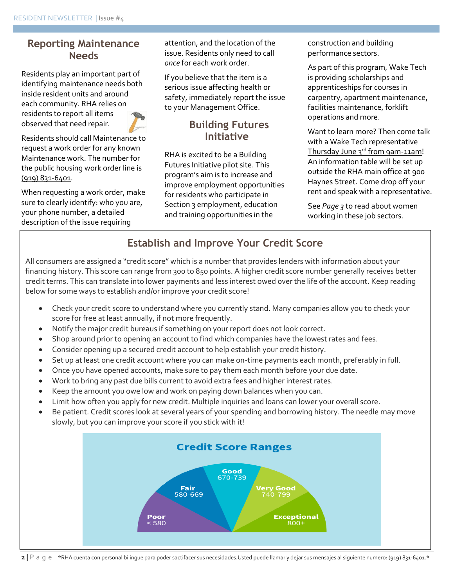#### **Reporting Maintenance Needs**

Residents play an important part of identifying maintenance needs both inside resident units and around each community. RHA relies on residents to report all items observed that need repair.

Residents should call Maintenance to request a work order for any known Maintenance work. The number for the public housing work order line is (919) 831-6401.

When requesting a work order, make sure to clearly identify: who you are, your phone number, a detailed description of the issue requiring

attention, and the location of the issue. Residents only need to call *once* for each work order.

If you believe that the item is a serious issue affecting health or safety, immediately report the issue to your Management Office.

### **Building Futures Initiative**

RHA is excited to be a Building Futures Initiative pilot site. This program's aim is to increase and improve employment opportunities for residents who participate in Section 3 employment, education and training opportunities in the

construction and building performance sectors.

As part of this program, Wake Tech is providing scholarships and apprenticeships for courses in carpentry, apartment maintenance, facilities maintenance, forklift operations and more.

Want to learn more? Then come talk with a Wake Tech representative Thursday June 3rd from 9am-11am! An information table will be set up outside the RHA main office at 900 Haynes Street. Come drop off your rent and speak with a representative.

See *Page 3* to read about women working in these job sectors.

# **Establish and Improve Your Credit Score**

All consumers are assigned a "credit score" which is a number that provides lenders with information about your financing history. This score can range from 300 to 850 points. A higher credit score number generally receives better credit terms. This can translate into lower payments and less interest owed over the life of the account. Keep reading below for some ways to establish and/or improve your credit score!

- Check your credit score to understand where you currently stand. Many companies allow you to check your score for free at least annually, if not more frequently.
- Notify the major credit bureaus if something on your report does not look correct.
- Shop around prior to opening an account to find which companies have the lowest rates and fees.
- Consider opening up a secured credit account to help establish your credit history.
- Set up at least one credit account where you can make on-time payments each month, preferably in full.
- Once you have opened accounts, make sure to pay them each month before your due date.
- Work to bring any past due bills current to avoid extra fees and higher interest rates.
- Keep the amount you owe low and work on paying down balances when you can.
- Limit how often you apply for new credit. Multiple inquiries and loans can lower your overall score.
- Be patient. Credit scores look at several years of your spending and borrowing history. The needle may move slowly, but you can improve your score if you stick with it!